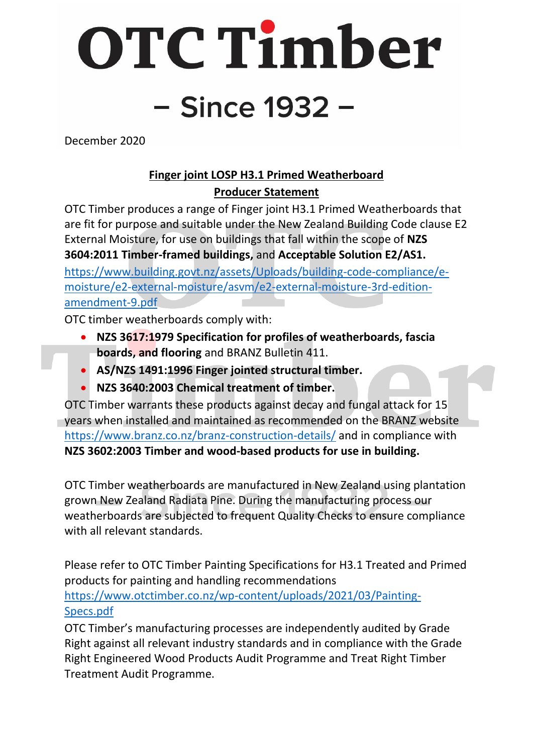OTC Timber - Since 1932 -

December 2020

## **Finger joint LOSP H3.1 Primed Weatherboard Producer Statement**

OTC Timber produces a range of Finger joint H3.1 Primed Weatherboards that are fit for purpose and suitable under the New Zealand Building Code clause E2 External Moisture, for use on buildings that fall within the scope of **NZS 3604:2011 Timber-framed buildings,** and **Acceptable Solution E2/AS1.**

[https://www.building.govt.nz/assets/Uploads/building-code-compliance/e](https://www.building.govt.nz/assets/Uploads/building-code-compliance/e-moisture/e2-external-moisture/asvm/e2-external-moisture-3rd-edition-amendment-9.pdf)[moisture/e2-external-moisture/asvm/e2-external-moisture-3rd-edition](https://www.building.govt.nz/assets/Uploads/building-code-compliance/e-moisture/e2-external-moisture/asvm/e2-external-moisture-3rd-edition-amendment-9.pdf)[amendment-9.pdf](https://www.building.govt.nz/assets/Uploads/building-code-compliance/e-moisture/e2-external-moisture/asvm/e2-external-moisture-3rd-edition-amendment-9.pdf)

OTC timber weatherboards comply with:

- **NZS 3617:1979 Specification for profiles of weatherboards, fascia boards, and flooring** and BRANZ Bulletin 411.
- **AS/NZS 1491:1996 Finger jointed structural timber.**
- **NZS 3640:2003 Chemical treatment of timber.**

OTC Timber warrants these products against decay and fungal attack for 15 years when installed and maintained as recommended on the BRANZ website <https://www.branz.co.nz/branz-construction-details/> and in compliance with **NZS 3602:2003 Timber and wood-based products for use in building.**

OTC Timber weatherboards are manufactured in New Zealand using plantation grown New Zealand Radiata Pine. During the manufacturing process our weatherboards are subjected to frequent Quality Checks to ensure compliance with all relevant standards.

Please refer to OTC Timber Painting Specifications for H3.1 Treated and Primed products for painting and handling recommendations [https://www.otctimber.co.nz/wp-content/uploads/2021/03/Painting-](https://www.otctimber.co.nz/wp-content/uploads/2021/03/Painting-Specs.pdf)[Specs.pdf](https://www.otctimber.co.nz/wp-content/uploads/2021/03/Painting-Specs.pdf)

OTC Timber's manufacturing processes are independently audited by Grade Right against all relevant industry standards and in compliance with the Grade Right Engineered Wood Products Audit Programme and Treat Right Timber Treatment Audit Programme.